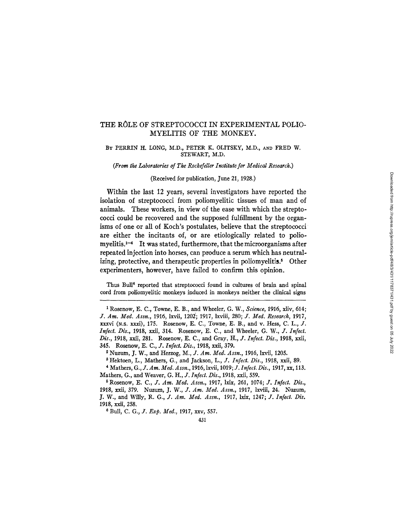## THE RÔLE OF STREPTOCOCCI IN EXPERIMENTAL POLIO-MYELITIS OF THE MONKEY.

#### BY PERRIN H. LONG, M.D., PETER K. OLITSKY, M.D., AND FRED W. STEWART, M.D.

*(From the Laboratories of The Rockefeller Institute for Medical Research.)* 

#### (Received for publication, June 21, 1928.)

Within the last 12 years, several investigators have reported the isolation of streptococci from poliomyelitic tissues of man and of animals. These workers, in view of the ease with which the streptococci could be recovered and the supposed fulfillment by the organisms of one or all of Koch's postulates, believe that the streptococci are either the incitants of, or are etiologically related to poliomyelitis. $1-4$  It was stated, furthermore, that the microorganisms after repeated injection into horses, can produce a serum which has neutralizing, protective, and therapeutic properties in poliomyelitis.<sup>5</sup> Other experimenters, however, have failed to confirm this opinion.

Thus Bull<sup>6</sup> reported that streptococci found in cultures of brain and spinal cord from poliomyelitic monkeys induced in monkeys neither the clinical signs

<sup>1</sup> Rosenow, E. C., Towne, E. B., and Wheeler, G. W., *Science,* 1916, xliv, 614; *J. Am. Meal. Assn.,* 1916, lxvii, 1202'; 1917, lxviii, 280; *J. Med. Research,* 1917, xxxvi (N.s. xxxi), 175. Rosenow, E. C., Towne, E. B., and v. Hess, C. L., J. *Infect. Dis.,* 1918, xxii, 314. Rosenow, E. C., and Wheeler, *G. W., J. Infect. Dis.,* 1918, xxii, 281. Rosenow, E. C., and Gray, *H., J. Infect. Dis.,* 1918, xxii, 345. Rosenow, *E. C., J. Infect. Dis.,* 1918, xxii, 379.

<sup>2</sup> Nuzum, J. W., and Herzog, *M., J. Am. Med. Assn.,* 1916, Ixvil, 1205.

Hektoen, L., Mathers, G., and Jackson, *L., J. Infect. Dis.,* 1918, xxii, 89.

<sup>4</sup> Mathers, *G., J. Am. Med. Assn.,* 1916, lxvii, 1019; *J. Infect. Dis.,* 1917, xx, 113. Mathers, G., and Weaver, *G. H., J. Infect. Dis.,* 1918, xxii, 559.

<sup>6</sup> Rosenow, *E. C., J. Am. Med. Assn.,* 1917, Ixix, 261, 1074; *J. Infect. Dis.,*  1918, xxii, 379. *Nuzum, J. W., J. Am. Med. Assn.,* 1917, lxviii, 24. Nuzum, J. W., and Willy, R. G., *J. Am. Med. Assn.*, 1917, lxix, 1247; *J. Infect. Dis.* 1918, xxii, 258.

e Bull, *C. G., J. Exp. Med.,* 1917, xxv, 557.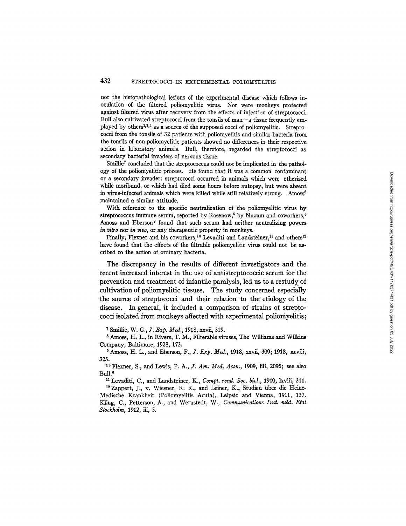nor the histopathological lesions of the experimental disease which follows inoculation of the filtered poliomyelitic virus. Nor were monkeys protected against filtered virus after recovery from the effects of injection of streptococci. Bull also cultivated streptococci from the tonsils of man--a tissue frequently employed by others $1,2,4$  as a source of the supposed cocci of poliomyelitis. Streptococci from the tonsils of 32 patients with poliomyelitis and similar bacteria from the tonsils of non-poliomyelitic patients showed no differences in their respective action in laboratory animals. Bull, therefore, regarded the streptococci as secondary bacterial invaders of nervous tissue.

Smillie<sup>7</sup> concluded that the streptococcus could not be implicated in the pathology of the poliomyelitic process. He found that it was a common contaminant or a secondary invader: streptococci occurred in animals which were etherized while moribund, or which had died some hours before autopsy, but were absent in virus-infected animals which were killed while still relatively strong. Amoss<sup>8</sup> maintained a similar attitude.

With reference to the specific neutralization of the poliomyelitic virus by streptococcus immune serum, reported by Rosenow,<sup>5</sup> by Nuzum and coworkers,<sup>5</sup> Amoss and Eberson<sup>9</sup> found that such serum had neither neutralizing powers *in vitro* nor *in vivo*, or any therapeutic property in monkeys.

Finally, Flexner and his coworkers, <sup>10</sup> Levaditi and Landsteiner,<sup>11</sup> and others<sup>12</sup> have found that the effects of the filtrable poliomyelitic virus could not be ascribed to the action of ordinary bacteria.

The discrepancy in the results of different investigators and the recent increased interest in the use of antistreptococcic serum for the prevention and treatment of infantile paralysis, led us to a restudy of cultivation of poliomyelitic tissues. The study concerned especially the source of streptococci and their relation to the etiology of the disease. In general, it included a comparison of strains of streptococci isolated from monkeys affected with experimental poliomyelitis;

Smillie, *W. G., ]. l~xp. Med.,* 1918, xxvii, 319.

<sup>8</sup> Amoss, H. L., in Rivers, T. M., Filterable viruses, The Williams and Wilkins Company, Baltimore, 1928, 173.

<sup>9</sup> Amoss, H. L., and Eberson, F., *J. Exp. Med.*, 1918, xxvii, 309; 1918, xxviii, 323.

I0 Flexner, S., and Lewis, *P. A., Y. Am. Med. Assn.,* 1909, liii, 2095; see also Bull. 6

11 Levaditi, C., and Landsteiner, K., *CompL rend. Soc. biol.,* 1910, lxviii, 311. <sup>12</sup> Zappert, J., v. Wiesner, R. R., and Leiner, K., Studien über die Heine-Medische Krankheit (Poliomyelitis Acuta), Leipsic and Vienna, 1911, 137. Kling, C., Petterson, A., and Wernstedt, W., *Communications Inst. méd. Etat Slockl, olm,* 1912, iii, 5.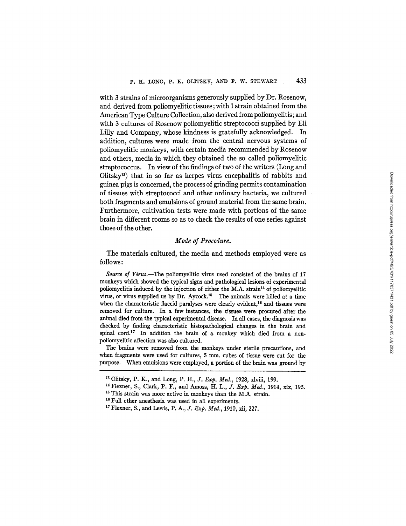with 3 strains of microorganisms generously supplied by Dr. Rosenow, and derived from poliomyelitic tissues; with 1 strain obtained from the American Type Culture Collection, also derived from poliomyelitis; and with 3 cultures of Rosenow poliomyelitic streptococci supplied by Eli Lilly and Company, whose kindness is gratefully acknowledged. In addition, cultures were made from the central nervous systems of poliomyelitic monkeys, with certain media recommended by Rosenow and others, media in which they obtained the so called poliomyelitic streptococcus. In view of the findings of two of the writers (Long and Olitsky 18) that in so far as herpes virus encephalitis of rabbits and guinea pigs is concerned, the process of grinding permits contamination of tissues with streptococci and other ordinary bacteria, we cultured both fragments and emulsions of ground material from the same brain. Furthermore, cultivation tests were made with portions of the same brain in different rooms so as to check the results of one series against those of the other.

## *Mode of Procedure.*

The materials cultured, the media and methods employed were as follows:

*Source of Virus.--The* poliomyelitic virus used consisted of the brains of 17 monkeys which showed the typical signs and pathological lesions of experimental poliomyelitis induced by the injection of either the M.A. strain 14 of poliomyelitic virus, or virus supplied us by Dr. Aycock.<sup>15</sup> The animals were killed at a time when the characteristic flaccid paralyses were clearly evident,<sup>16</sup> and tissues were removed for culture. In a few instances, the tissues were procured after the animal died from the typical experimental disease. In all cases, the diagnosis was checked by finding characteristic histopathological changes in the brain and spinal cord.<sup>17</sup> In addition the brain of a monkey which died from a nonpoliomyelitic affection was also cultured.

The brains were removed from the monkeys under sterile precautions, and when fragments were used for cultures, 5 mm. cubes of tissue were cut for the purpose. When emulsions were employed, a portion of the brain was ground by

<sup>&</sup>lt;sup>13</sup> Olitsky, P. K., and Long, P. H., *J. Exp. Med.*, 1928, xlviii, 199.

<sup>14</sup> Flexner, S., Clark, P. F., and Amoss, *H. L., J. Exp. Med.,* 1914, xix, 195.

<sup>15</sup> This strain was more active in monkeys than the *M.A.* strain.

is Full ether anesthesia was used in all experiments.

<sup>17</sup> Flermer, S., and Lewis, P. A., *J. Exp. Med.,* 1910, xii, 227.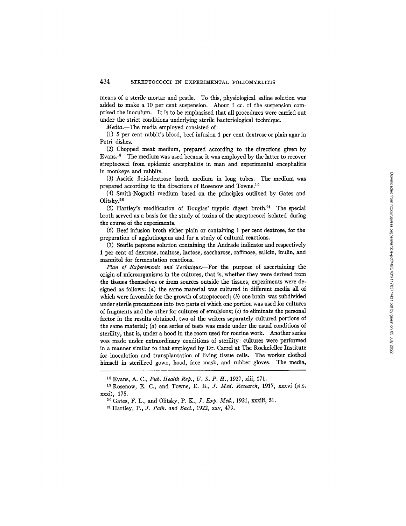means of a sterile mortar and pestle. To this, physiological saline solution was added to make a 10 per cent suspension. About 1 cc. of the suspension comprised the inoculum. It is to be emphasized that all procedures were carried out under the strict conditions underlying sterile bacteriological technique.

*Media.--The* media employed consisted of:

(1) 5 per cent rabbit's blood, beef infusion 1 per cent dextrose or plain agar in Petri dishes.

(2) Chopped meat medium, prepared according to the directions given by Evans.<sup>18</sup> The medium was used because it was employed by the latter to recover streptococci from epidemic encephalitis in man and experimental encephalitis in monkeys and rabbits.

(3) Ascitic fluid-dextrose broth medium in long tubes. The medium was prepared according to the directions of Rosenow and Towne.<sup>19</sup>

(4) Smith-Noguchi medium based on the principles outlined by Gates and Olitsky.<sup>20</sup>

(5) Hartley's modification of Douglas' tryptic digest broth.<sup>21</sup> The special broth served as a basis for the study of toxins of the streptococci isolated during the course of the experiments.

(6) Beef infusion broth either plain or containing 1 per cent dextrose, for the preparation of agglutinogens and for a study of cultural reactions.

(7) Sterile peptone solution containing the Andrade indicator and respectively 1 per cent of dextrose, maltose, lactose, saccharose, raffinose, salicin, inulin, and mannitol for fermentation reactions.

Plan of Experiments and Technique.-- For the purpose of ascertaining the origin of microorganisms in the cultures, that is, whether they were derived from the tissues themselves or from sources outside the tissues, experiments were designed as follows: (a) the same material was cultured in different media all of which were favorable for the growth of streptococci;  $(b)$  one brain was subdivided under sterile precautions into two parts of which one portion was used for cultures of fragments and the other for cultures of emulsions;  $(c)$  to eliminate the personal factor in the results obtained, two of the writers separately cultured portions of the same material; (d) one series of tests was made under the usual conditions of sterility, that is, under a hood in the room used for routine work. Another series was made under extraordinary conditions of sterility: cultures were performed in a manner similar to that employed by Dr. Carrel at The Rockefeller Institute for inoculation and transplantation of living tissue cells. The worker clothed himself in sterilized gown, hood, face mask, and rubber gloves. The media,

is Evans, A. C., *Pub. Health Rep., U. S. P. H.,* 1927, xlii, 171.

<sup>&</sup>lt;sup>19</sup> Rosenow, E. C., and Towne, E. B., J. Med. Research, 1917, xxxvi (N.S. xxxi), 175.

<sup>2</sup>o Gates, F. L., and Olitsky, *P. K., J. Exp. Med.,* 1921, xxxiii, 51.

<sup>21</sup> Hartley, *P., J. Path. and Bact.,* 1922, xxv, 479.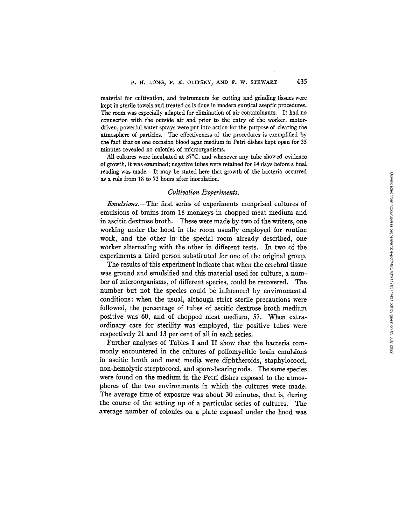material for cultivation, and instruments for cutting and grinding tissues were kept in sterile towels and treated as is done in modern surgical aseptic procedures. The room was especially adapted for elimination of air contaminants. It had no connection with the outside air and prior to the entry of the worker, motordriven, powerful water sprays were put into action for the purpose of clearing the atmosphere of particles. The effectiveness of the procedures is exemplified by the fact that on one occasion blood agar medium in Petri dishes kept open for 35 minutes revealed no colonies of microorganisms.

All cultures were incubated at 37°C. and whenever any tube showed evidence of growth, it was examined; negative tubes were retained for 14 days before a final reading was made. It may be stated here that growth of the bacteria occurred as a rule from 18 to 72 hours after inoculation.

#### *Cultivation Experiments.*

*Emulsions :--The* first series of experiments comprised cultures of emulsions of brains from 18 monkeys in chopped meat medium and in ascitic dextrose broth. These were made by two of the writers, one working under the hood in the room usually employed for routine work, and the other in the special room already described, one worker alternating with the other in different tests. In two of the experiments a third person substituted for one of the original group.

The results of this experiment indicate that when the cerebral tissue was ground and emulsified and this material used for culture, a number of microorganisms, of different species, could be recovered. The number but not the species could be influenced by environmental conditions: when the usual, although strict sterile precautions were followed, the percentage of tubes of ascitic dextrose broth medium positive was 60, and of chopped meat medium, 57. When extraordinary care for sterility was employed, the positive tubes were respectively 21 and 13 per cent of all in each series.

Further analyses of Tables I and II show that the bacteria commonly encountered in the cultures of poliomyelitic brain emulsions in ascitic broth and meat media were diphtheroids, staphylococci, non-hemolytic streptococci, and spore-bearing rods. The same species were found on the medium in the Petri dishes exposed to the atmospheres of the two environments in which the cultures were made. The average time of exposure was about 30 minutes, that is, during the course of the setting up of a particular series of cultures. The average number of colonies on a plate exposed under the hood was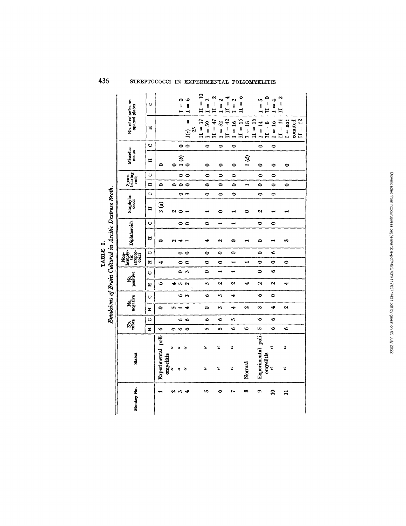|                                                        |                                                                                                                 | U |                                 |           | $\frac{1}{\sqrt{2}}$ | $\bullet$<br>ll                              | $\mathbf{a}$<br>$\mathbf{l}$<br>$\blacksquare$ | $\mathbf{a}$<br>ll | $\mathbf{\hat{c}}$<br>$\ddot{\phantom{0}}$<br>$\mathbf i$<br>$\frac{1}{1}$<br>〓 | 4<br>11<br>ᄇ | $\mathbf{r}$<br>ll | $\circ$<br>I<br>Η      |                | îņ,<br>ľ<br>Ι                                 | $\frac{1}{2}$<br>Π                       | 4<br>$\frac{1}{1}$ | 2<br>ľ<br>Η         |                      |         |            |
|--------------------------------------------------------|-----------------------------------------------------------------------------------------------------------------|---|---------------------------------|-----------|----------------------|----------------------------------------------|------------------------------------------------|--------------------|---------------------------------------------------------------------------------|--------------|--------------------|------------------------|----------------|-----------------------------------------------|------------------------------------------|--------------------|---------------------|----------------------|---------|------------|
|                                                        | No. of colonies on<br>opened plates                                                                             | Η |                                 |           |                      | $\mathbf{I}$<br>25<br>I(c)                   | $= 17$<br>$\blacksquare$                       | S9<br>J            | $41 =$<br>$I = 52$<br>Ξ                                                         | $=42$<br>ᆸ   | $1 = 16$           | $= 16$<br>$\mathbf{H}$ | $I = 18$       | $= 16$<br>$I = 14$<br>$\overline{\mathbf{u}}$ | $\infty$<br>N<br>$\overline{\mathbf{u}}$ | $I = 16$           | $=$<br>$\mathbf{H}$ | $I = not$            | counted | $\Pi = 12$ |
|                                                        |                                                                                                                 | O |                                 |           | $\bullet$            | $\circ$                                      |                                                | $\bullet$          | $\bullet$                                                                       |              | $\bullet$          |                        |                | $\bullet$                                     |                                          | $\bullet$          |                     |                      |         |            |
|                                                        | Miscella-<br>neous                                                                                              | щ | 0                               | $\bullet$ |                      | $\begin{matrix} 1 & 0 \\ 0 & 0 \end{matrix}$ |                                                | 0                  | 0                                                                               |              | $\bullet$          |                        | 1(d)           | 0                                             |                                          | $\bullet$          |                     | $\bullet$            |         |            |
|                                                        | Spore-<br>bearing                                                                                               | ပ |                                 |           | 0                    | $\bullet$                                    |                                                | $\bullet$          | $\bullet$                                                                       |              | $\bullet$          |                        |                | 0                                             |                                          | $\bullet$          |                     |                      |         |            |
|                                                        |                                                                                                                 | Н | $\bullet$                       | $\bullet$ | $\bullet$            | $\bullet$                                    |                                                | $\bullet$          | $\bullet$                                                                       |              | 0                  |                        | ⊷              | $\bullet$                                     |                                          | $\bullet$          |                     | $\bullet$            |         |            |
|                                                        |                                                                                                                 | ပ |                                 |           |                      |                                              |                                                | $\bullet$          | $\bullet$                                                                       |              | $\bullet$          |                        |                | $\bullet$                                     |                                          | $\bullet$          |                     |                      |         |            |
|                                                        | Staphylo-<br>cocci                                                                                              | H | 3(a)                            |           | $\sim$ 0             |                                              |                                                |                    | 0                                                                               |              |                    |                        | $\bullet$      | 2                                             |                                          |                    |                     |                      |         |            |
|                                                        |                                                                                                                 | ပ |                                 |           | 0                    | $\circ$                                      |                                                | $\bullet$          | $\blacksquare$                                                                  |              | $\blacksquare$     |                        |                | $\bullet$                                     |                                          | 0                  |                     |                      |         |            |
| Emulsions of Brain Cultured in Ascitic Dextrose Broth. | <b>Diphtheroids</b>                                                                                             | Ħ | 0                               | ы         | ₩                    |                                              |                                                | ٠                  | Ν                                                                               |              | 0                  |                        |                | 0                                             |                                          |                    |                     | m                    |         |            |
| TABLE I.                                               | $\begin{array}{c}\n\text{Mue.} \\ \text{Imody} \\ \text{strange} \\ \text{strange} \\ \text{occi}\n\end{array}$ | Ò |                                 |           | ٥                    | $\bullet$                                    |                                                | 0                  | $\bullet$                                                                       |              | $\bullet$          |                        |                | 0                                             |                                          | $\bullet$          |                     |                      |         |            |
|                                                        |                                                                                                                 | × | ÷                               |           | $\bullet$            | $\bullet$                                    |                                                | 0                  | $\bullet$                                                                       |              | $\blacksquare$     |                        | $\blacksquare$ | 0                                             |                                          | 0                  |                     | $\bullet$            |         |            |
|                                                        | No.<br>positive                                                                                                 | O |                                 |           | 0                    | $\ddot{\phantom{0}}$                         |                                                | 0                  | $\blacksquare$                                                                  |              | w                  |                        |                | 0                                             |                                          | Ó                  |                     |                      |         |            |
|                                                        |                                                                                                                 | E | ٠                               | 4         | S,                   | $\alpha$<br>ų                                |                                                | ıņ,                | 2                                                                               |              | Z                  |                        | ۰              | N                                             |                                          | 2                  |                     | 4                    |         |            |
|                                                        | No.<br>negative                                                                                                 | ပ |                                 |           | ς,                   |                                              |                                                | Ó                  | ĥ,                                                                              |              | ÷                  |                        |                | $\bullet$                                     |                                          | $\bullet$          |                     |                      |         |            |
|                                                        |                                                                                                                 | π | $\bullet$                       | iŋ,       |                      | ₩                                            |                                                | $\bullet$          | m                                                                               |              | ÷                  |                        | $\mathbf{a}$   | $\mathbf{e}$                                  |                                          | ₩                  |                     | $\ddot{\phantom{1}}$ |         |            |
|                                                        | xe<br>the                                                                                                       | U |                                 |           | Ó                    | $\circ$                                      |                                                | $\bullet$          | $\ddot{\bullet}$                                                                |              | iņ,                |                        |                | $\bullet$                                     |                                          | $\bullet$          |                     |                      |         |            |
|                                                        |                                                                                                                 | Ħ | $\bullet$                       | $\sim$ 0  |                      | $\circ$                                      |                                                | in,                | ĥ,                                                                              |              | ۰                  |                        | Ó              | L.                                            |                                          | $\bullet$          |                     | $\bullet$            |         |            |
|                                                        | Status                                                                                                          |   | Experimental poli-<br>omyelitis | ะ<br>4    | ።<br>₹               | ₹<br>$\ddot{ }$                              | ÷,<br>$\ddot{ }$                               |                    | 3<br>Ξ                                                                          |              | ¥<br>¥             |                        | Normal         | Experimental poli-                            | omyelitis                                | 3<br>z             |                     | ¥<br>÷               |         |            |
|                                                        | Monkey No.                                                                                                      |   |                                 | 2         | $\rightarrow$        | ₹                                            |                                                | ı,                 | Ó                                                                               |              | 1                  |                        | ∞              | ۰                                             |                                          | $\mathbf{a}$       |                     | $\mathbf{1}$         |         |            |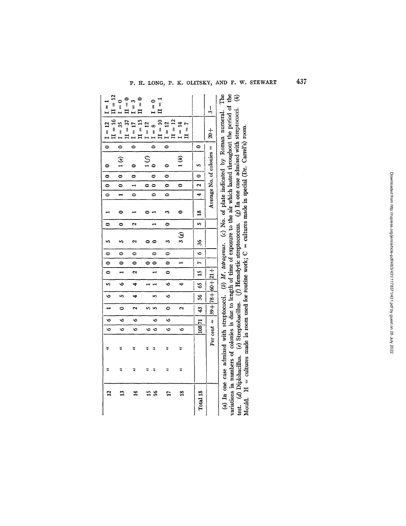|                           |                                       |                      |                             |                 |                                                                                |                          |                 |                      |                      |               |                          |                                                  |                          |                         |                         |                      |                      |            |            | (a) In one case admixed with streptococci. (b) M. tetragenus. (c) No. of plate indicated by Roman numeral. The<br>$\ddot{\phantom{a}}$ |
|---------------------------|---------------------------------------|----------------------|-----------------------------|-----------------|--------------------------------------------------------------------------------|--------------------------|-----------------|----------------------|----------------------|---------------|--------------------------|--------------------------------------------------|--------------------------|-------------------------|-------------------------|----------------------|----------------------|------------|------------|----------------------------------------------------------------------------------------------------------------------------------------|
| $\frac{1}{3}$             | $-20 +$                               |                      | Average No. of colonies $=$ |                 |                                                                                |                          |                 |                      |                      |               |                          | Per cent = $ 39+ 78+ 60+ 21+ $                   |                          |                         |                         |                      |                      |            |            |                                                                                                                                        |
|                           |                                       | $\bullet$            | ŋ                           | $\frac{1}{2}$   | $\overline{\mathbf{r}}$                                                        | $\frac{1}{4}$            | $\frac{18}{18}$ |                      | 36                   | $\frac{1}{6}$ |                          | $\frac{15}{ }$                                   | $\frac{1}{2}$            | $\overline{\mathbf{s}}$ | $\frac{43}{ }$          | 10871                |                      |            |            | Total 18                                                                                                                               |
|                           | $\overline{a}$<br>$\Pi =$             |                      |                             |                 |                                                                                |                          |                 |                      |                      |               |                          |                                                  |                          |                         |                         |                      |                      |            |            |                                                                                                                                        |
|                           | $I = 14$                              |                      | 1(h)                        |                 | $\overline{\bullet}$                                                           |                          | $\bullet$       |                      | 3(g)                 |               |                          |                                                  | $\ddot{}$                |                         | $\mathbf{\hat{z}}$      |                      | Ó                    | š          | ä          | $\frac{8}{18}$                                                                                                                         |
|                           | $\Pi = 12$                            |                      |                             |                 |                                                                                |                          |                 |                      |                      |               |                          |                                                  |                          |                         |                         |                      |                      |            |            |                                                                                                                                        |
|                           | $1 = 12$                              | $\overline{\bullet}$ | $\circ$                     |                 | $\begin{array}{c} 0 \\ 0 \end{array}$                                          | $\bullet$                | s               | $\bullet$            | $\mathbf{c}$         | $\frac{1}{2}$ | $\overline{\bullet}$     | $\bar{\bullet}$                                  | $\overline{\bullet}$     | $\overline{\bullet}$    | $\overline{\bullet}$    | $\overline{\bullet}$ | ್                    | ž          | 3          | $\mathbf{1}$                                                                                                                           |
| $\mathbf{u} = 1$          | $\Pi = 10$                            |                      |                             |                 |                                                                                |                          |                 |                      |                      |               |                          |                                                  |                          |                         |                         |                      |                      |            |            |                                                                                                                                        |
| $1 = 0$                   | $I = 8$                               | $\overline{\bullet}$ | $\overline{\phantom{0}}$    |                 | $\begin{array}{ c c } \hline \textbf{0} & \textbf{0} & \textbf{0} \end{array}$ | $\overline{\bullet}$     |                 |                      | $\bullet$            | $\circ$       |                          | $\begin{array}{c c} 1 & 0 \\ \hline \end{array}$ |                          | 5                       | in,                     | $\overline{\bullet}$ | ৢ                    | ă          | 3          | 15 <sub>15</sub>                                                                                                                       |
|                           | $I = 12$                              |                      | 1 <sub>0</sub>              |                 | $\overline{\bullet}$                                                           |                          | $\bullet$       |                      | 0                    |               | $\bullet$                |                                                  |                          |                         | iŋ,                     |                      | $\bullet$            | $\ddot{ }$ | $\ddot{ }$ |                                                                                                                                        |
|                           | $\Pi = 15$ $\Pi = 0$                  |                      |                             |                 |                                                                                |                          |                 |                      |                      |               |                          |                                                  |                          |                         |                         |                      |                      |            |            |                                                                                                                                        |
| $ I = 3$                  | $I = 17$                              | $\overline{\bullet}$ | $\bullet$                   | $\frac{1}{1}$ 0 |                                                                                | $\overline{\bullet}$     |                 | $\mathbf{\hat{z}}$   | $\mathbf{\tilde{c}}$ | $\bullet$     | $\overline{\phantom{0}}$ | $\overline{\mathbf{c}}$                          | $\overline{\phantom{a}}$ | $\frac{1}{4}$           | $\overline{\mathbf{z}}$ | $\overline{\bullet}$ | $\ddot{\bullet}$     | ă          | ă          | $\mathbf{14}$                                                                                                                          |
| $\mathbf{H} = \mathbf{0}$ | $\Pi = 37$                            |                      |                             |                 |                                                                                |                          |                 |                      |                      |               |                          |                                                  |                          |                         |                         |                      |                      |            |            |                                                                                                                                        |
| $I = 0$                   | $I = 35$                              | $\overline{\bullet}$ | 1(e)                        |                 | $\begin{array}{ c c } \hline \text{o} & \text{o} & \text{ } \end{array}$       | $\overline{\phantom{0}}$ | 0               | $\overline{\bullet}$ | ŋ                    | $\bullet$     | $\overline{\bullet}$     | $\overline{\phantom{0}}$                         | $\overline{\bullet}$     | 5                       | $\overline{\bullet}$    | $\overline{\bullet}$ | $\overline{\bullet}$ | ă          | A          | $\mathbf{13}$                                                                                                                          |
|                           | $\mathbf{U} = 16$   $\mathbf{U} = 12$ |                      |                             |                 |                                                                                |                          |                 |                      |                      |               |                          |                                                  |                          |                         |                         |                      |                      |            |            |                                                                                                                                        |
| $I = 1$                   | $0 1 = 12$                            |                      | 0   0   0   0               |                 |                                                                                |                          | $\overline{a}$  | $\overline{\bullet}$ | n                    |               |                          | 0000                                             | $\overline{5}$           |                         | 6   6   1   6           |                      |                      | ă          | ҉          | ä,                                                                                                                                     |
|                           |                                       |                      |                             |                 |                                                                                |                          |                 |                      |                      |               |                          |                                                  |                          |                         |                         |                      |                      |            |            |                                                                                                                                        |

**• • °**   $+\nvert$   $\frac{1}{2}$   $\frac{5}{2}$   $\frac{5}{2}$   $\frac{5}{2}$   $\frac{5}{2}$   $\frac{5}{2}$   $\frac{5}{2}$   $\frac{5}{2}$   $\frac{5}{2}$   $\frac{5}{2}$   $\frac{5}{2}$   $\frac{5}{2}$   $\frac{5}{2}$   $\frac{5}{2}$   $\frac{5}{2}$   $\frac{5}{2}$   $\frac{5}{2}$   $\frac{5}{2}$   $\frac{5}{2}$   $\frac{5}{2}$   $\frac{5}{2}$   $\frac{5$ ..i..i  $\frac{1}{2}$   $\frac{1}{2}$   $\frac{3}{2}$   $\frac{3}{2}$   $\frac{3}{2}$   $\frac{3}{2}$   $\frac{3}{2}$ : ፡ ፬  $\frac{11}{2}$   $\frac{11}{2}$   $\frac{11}{2}$   $\frac{11}{2}$   $\frac{11}{2}$   $\frac{11}{2}$   $\frac{11}{2}$  $\frac{e}{\vec{k}}$   $\frac{1}{\vec{k}}$   $\frac{d}{d\vec{k}}$   $\frac{e}{i\vec{k}}$ **, ~**  ~ m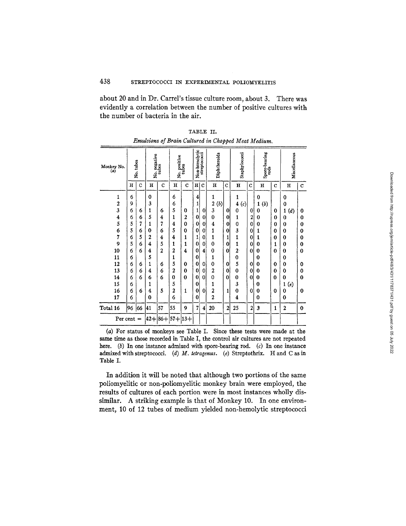about 20 and in Dr. Carrel's tissue culture room, about 3. There was evidently a correlation between the number of positive cultures with the number of bacteria in the air.

| Monkey No.<br>$(a)$     |    | No. tubes   |                         | No. negative<br>tubes |             | No. positive<br>tubes |             | Non-hemolytic<br>streptococci | Diphtheroids            |                | Staphylococci  |                | Spore-bearing<br>rods |   | Miscellaneous          |          |
|-------------------------|----|-------------|-------------------------|-----------------------|-------------|-----------------------|-------------|-------------------------------|-------------------------|----------------|----------------|----------------|-----------------------|---|------------------------|----------|
|                         | н  | $\mathbf c$ | $\,$ H                  | C                     | $\bf H$     | $\mathbf c$           | $\mathbf H$ | C                             | $\mathbf H$             | $\mathbf C$    | $\bf H$        | $\mathbf C$    | н                     | C | н                      | C        |
| $\mathbf{1}$            | 6  |             | 0                       |                       | 6           |                       | 4           |                               | 1                       |                | 1              |                | 0                     |   | 0                      |          |
| $\overline{\mathbf{c}}$ | 9  |             | 3                       |                       | 6           |                       | 1           |                               | $\overline{c}$<br>(b)   |                | (c)<br>4       |                | (b)<br>1              |   | 0                      |          |
| 3                       | 6  | 6           | 1                       | 6                     | 5           | 0                     | 1           | 0                             | 3                       | 0              | 0              | 0              | 0                     | 0 | $\left( d\right)$<br>1 | 0        |
| $\frac{4}{5}$           | 6  | 6           | 5                       | 4                     | 1           | 2                     | 0           | 0                             | $\bf{0}$                | $\bf{0}$       | 1              | 2              | 0                     | 0 | 0                      | 0        |
|                         | 5  | 7           | 1                       | 7                     | 4           | 0                     | $\bf{0}$    | 0                             | $\overline{\mathbf{4}}$ | 0              | 0              | 0              | 0                     | 0 | 0                      | 0        |
| 6                       | 5  | 6           | $\bf{0}$                | 6                     | 5           | 0                     | 0           | 0                             | 1                       | $\bf{0}$       | 3              | 0              | 1                     | 0 | 0                      | 0        |
| $\overline{7}$          | 6  | 5           | $\overline{c}$          | $\overline{4}$        | 4           | 1                     | 1           | 0                             | 1                       | 1              | 1              | 0              | 1                     | 0 | $\bf{0}$               | 0        |
| 9                       | 5  | 6           | 4                       | 5                     | 1           | 1                     | 0           | 0                             | $\bf{0}$                | 0              | 1              | 0              | 0                     | 1 | 0                      | 0        |
| 10                      | 6  | 6           | 4                       | $\overline{2}$        | 2           | 4                     | 0           | 4                             | $\bf{0}$                | $\bf{0}$       | $\overline{2}$ | 0              | 0                     | 0 | 0                      | 0        |
| 11                      | 6  |             | 5                       |                       | 1           |                       | $\bf{0}$    |                               | 1                       |                | 0              |                | 0                     |   | 0                      |          |
| 12                      | 6  | 6           | $\mathbf{1}$            | 6                     | 5           | 0                     | 0           | 0                             | $\bf{0}$                | $\bf{0}$       | 5              | 0              | 0                     | 0 | $\bf{0}$               | 0        |
| 13                      | 6  | 6           | 4                       | 6                     | 2           | 0                     | 0           | 0                             | $\overline{a}$          | 0              | 0              | 0              | 0                     | 0 | 0                      | 0        |
| 14                      | 6  | 6           | 6                       | 6                     | 0           | 0                     | 0           | 0                             | 0                       | $\bf{0}$       | $\bf{0}$       | 0              | 0                     | 0 | 0                      | 0        |
| 15                      | 6  |             | 1                       |                       | 5           |                       | 0           |                               | 1                       |                | 3              |                | 0                     |   | 1<br>(e)               |          |
| 16                      | 6  | 6           | $\overline{\mathbf{4}}$ | 5                     | 2           | 1                     | $\bf{0}$    | 0                             | $\overline{a}$          | 1              | $\bf{0}$       | $\bf{0}$       | $\bf{0}$              | 0 | 0                      | $\bf{0}$ |
| 17                      | 6  |             | 0                       |                       | 6           |                       | 0           |                               | $\overline{2}$          |                | 4              |                | 0                     |   | 0                      |          |
| Total 16                | 96 | 66          | 41                      | 57                    | 55          | 9                     | 7           | 4                             | 20                      | $\overline{2}$ | 25             | $\overline{2}$ | 3                     | 1 | $\overline{2}$         | $\bf{0}$ |
| $Per cent =$            |    |             | $42+$                   | $86+$                 | $57 + 13 +$ |                       |             |                               |                         |                |                |                |                       |   |                        |          |

TABLE II, *Emulsions of Brain Cultured in Chopped Meat Medium.* 

(a) For status of monkeys see Table I. Since these tests were made at the same time as those recorded in Table I, the control air cultures are not repeated here. (b) In one instance admixed with spore-bearing rod. (c) In one instance admixed with streptococci. *(d) M. tetragenus.* (e) Streptothrix. H and C as in Table L

In addition it will be noted that although two portions of the same poliomyelitic or non-poliomyelitic monkey brain were employed, the results of cultures of each portion were in most instances wholly dissimilar. A striking example is that of Monkey 10. In one environment, 10 of 12 tubes of medium yielded non-hemolytic streptococci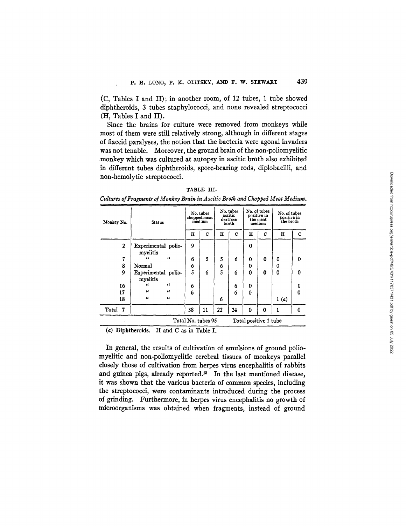(C, Tables I and II); in another room, of 12 tubes, 1 tube showed diphtheroids, 3 tubes staphylococci, and none revealed streptococci (H, Tables I and II).

Since the brains for culture were removed from monkeys while most of them were still relatively strong, although in different stages of flaccid paralyses, the notion that the bacteria were agonal invaders was not tenable. Moreover, the ground brain of the non-poliomyelitic monkey which was cultured at autopsy in ascitic broth also exhibited in different tubes diphtheroids, spore-bearing rods, diplobacilli, and non-hemolytic streptococci.

## TABLE III.

*Cultures of Fragments of Monkey Brain in Ascitic Broth and Chopped Meat Medium.* 

| Monkey No.   | <b>Status</b>                   |             | No. tubes<br>chopped meat<br>medium |    | No. tubes<br>ascitic<br>dextrose<br>broth |                       | No. of tubes<br>positive in<br>the meat<br>medium | No. of tubes<br>positive in<br>the broth |          |
|--------------|---------------------------------|-------------|-------------------------------------|----|-------------------------------------------|-----------------------|---------------------------------------------------|------------------------------------------|----------|
|              |                                 | $\mathbf H$ | C                                   | н  | C                                         | Ħ                     | c                                                 | н                                        | c        |
| $\mathbf{2}$ | Experimental polio-<br>myelitis | 9           |                                     |    |                                           | $\bf{0}$              |                                                   |                                          |          |
| 7            | $\epsilon$<br>$\epsilon$        | 6           | 5                                   | 5  | 6                                         | 0                     | 0                                                 | 0                                        | 0        |
| 8            | Normal                          | 6           |                                     | 6  |                                           | $\bf{0}$              |                                                   | 0                                        |          |
| 9            | Experimental polio-<br>myelitis | 5           | 6                                   | 5  | 6                                         | $\bf{0}$              | 0                                                 | 0                                        | $\Omega$ |
| 16           | $\epsilon$<br>$\epsilon$        | 6           |                                     |    | 6                                         | 0                     |                                                   |                                          | 0        |
| 17           | $\epsilon$<br>$\epsilon$        | 6           |                                     |    | 6                                         | 0                     |                                                   |                                          | 0        |
| 18           | $\epsilon$<br>$\epsilon$        |             |                                     | 6  |                                           |                       |                                                   | 1(a)                                     |          |
| Total 7      |                                 | 38          | 11                                  | 22 | 24                                        | 0                     | 0                                                 | 1                                        | $\bf{0}$ |
|              |                                 |             | Total No. tubes 95                  |    |                                           | Total positive 1 tube |                                                   |                                          |          |

(a) Diphtheroids. H and C as in Table I.

In general, the results of cultivation of emulsions of ground poliomyelitic and non-poliomyelitic cerebral tissues of monkeys parallel closely those of cultivation from herpes virus encephalitis of rabbits and guinea pigs, already reported.<sup>13</sup> In the last mentioned disease, it was shown that the various bacteria of common species, including the streptococci, were contaminants introduced during the process of grinding. Furthermore, in herpes virus encephalitis no growth of microorganisms was obtained when fragments, instead of ground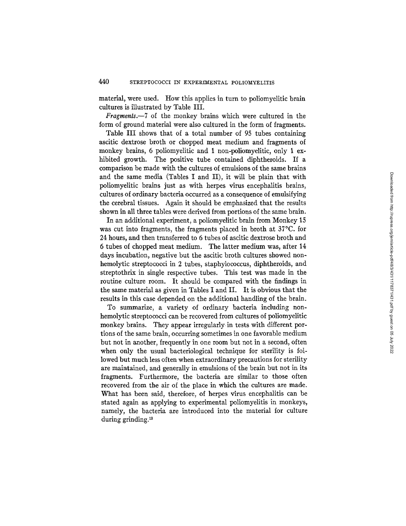material, were used. How this applies in turn to poliomyelitic brain cultures is illustrated by Table III.

*Fragments.--7* of the monkey brains which were cultured in the form of ground material were also cultured in the form of fragments.

Table III shows that of a total number of 95 tubes containing ascitic dextrose broth or chopped meat medium and fragments of monkey brains, 6 poliomyelitic and 1 non-poliomyelitic, only 1 exhibited growth. The positive tube contained diphtheroids. If a comparison be made with the cultures of emulsions of the same brains and the same media (Tables I and II), it will be plain that with poliomyelitic brains just as with herpes virus encephalitis brains, cultures of ordinary bacteria occurred as a consequence of emulsifying the cerebral tissues. Again it should be emphasized that the results shown in all three tables were derived from portions of the same brain.

In an additional experiment, a poliomyelitic brain from Monkey 15 was cut into fragments, the fragments placed in broth at 37°C. for 24 hours, and then transferred to 6 tubes of ascitic dextrose broth and 6 tubes of chopped meat medium. The latter medium was, after 14 days incubation, negative but the ascitic broth cultures showed nonhemolytic streptococci in 2 tubes, staphylococcus, diphtheroids, and streptothrix in single respective tubes. This test was made in the routine culture room. It should be compared with the findings in the same material as given in Tables I and II. It is obvious that the results in this case depended on the additional handling of the brain.

To summarize, a variety of ordinary bacteria including nonhemolytic streptococci can be recovered from cultures of poliomyelitic monkey brains. They appear irregularly in tests with different portions of the same brain, occurring sometimes in one favorable medium but not in another, frequently in one room but not in a second, often when only the usual bacteriological technique for sterility is followed but much less often when extraordinary precautions for sterility are maintained, and generally in emulsions of the brain but not in its fragments. Furthermore, the bacteria are similar to those often recovered from the air of the place in which the cultures are made. What has been said, therefore, of herpes virus encephalitis can be stated again as applying to experimental poliomyelitis in monkeys, namely, the bacteria are introduced into the material for culture during grinding. 13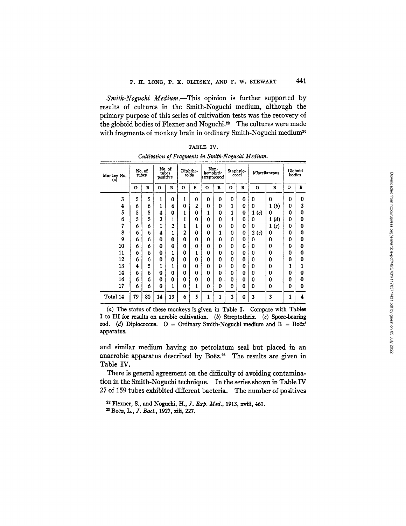*Smith-Noguchi Medium.--This* opinion is further supported by results of cultures in the Smith-Noguchi medium, although the primary purpose of this series of cultivation tests was the recovery of the globoid bodies of Flexner and Noguchi.<sup>22</sup> The cultures were made with fragments of monkey brain in ordinary Smith-Noguchi medium<sup>20</sup>

| Monkey No.<br>(a) |              | No. of<br>tubes | positive     | No. of<br>tubes |              | Diphthe-<br>roids |              | Non-<br>hemolytic<br>streptococci |          | Staphylo-<br>cocci |              | Miscellaneous |          | Globoid<br>bodies |
|-------------------|--------------|-----------------|--------------|-----------------|--------------|-------------------|--------------|-----------------------------------|----------|--------------------|--------------|---------------|----------|-------------------|
|                   | $\mathbf{o}$ | в               | o            | B               | o            | в                 | $\mathbf{o}$ | в                                 | O        | B                  | $\mathbf{o}$ | B             | O        | B                 |
| 3                 | 5            | 5               | 1            | $\bf{0}$        | $\mathbf{1}$ | $\bf{0}$          | $\Omega$     | $\bf{0}$                          | 0        | $\bf{0}$           | 0            | 0             | $\bf{0}$ | 0                 |
| 4                 | 6            | 6               | 1            | 6               | 0            | $\overline{2}$    | 0            | 0                                 | 1        | $\bf{0}$           | 0            | (b)<br>1      | $\bf{0}$ | 3                 |
| 5                 | 5            | 5               | 4            | 0               | 1            | $\Omega$          | Í            | 0                                 | 1        | $\bf{0}$           | (c)<br>1     | 0             | $\Omega$ | 0                 |
| 6                 | 5            | 5               | $\mathbf{2}$ | 1               | 1            | $\bf{0}$          | 0            | 0                                 | 1        | $\bf{0}$           | 0            | (d)<br>1      | $\Omega$ | $\bf{0}$          |
| 7                 | 6            | 6               | 1            | $\overline{2}$  | 1            | 1                 | 0            | 0                                 | 0        | 0                  | 0            | (c)<br>1      | 0        | 0                 |
| 8                 | 6            | 6               | 4            | 1               | $\mathbf{z}$ | $\Omega$          | 0            | 1                                 | 0        | 0                  | 2<br>(c)     | 0             | 0        | $\bf{0}$          |
| 9                 | 6            | 6               | 0            | 0               | 0            | 0                 | 0            | 0                                 | 0        | 0                  | 0            | $\bf{0}$      | 0        | $\bf{0}$          |
| 10                | 6            | 6               | 0            | 0               | 0            | 0                 | 0            | 0                                 | 0        | $\bf{0}$           | 0            | $\bf{0}$      | 0        | $\bf{0}$          |
| 11                | 6            | 6               | $\bf{0}$     | 1               | 0            | 1                 | 0            | 0                                 | 0        | 0                  | 0            | $\bf{0}$      | 0        | 0                 |
| 12                | 6            | 6               | 0            | 0               | 0            | $\bf{0}$          | 0            | 0                                 | 0        | 0                  | 0            | $\bf{0}$      | 0        | 0                 |
| 13                | 4            | 5               | 1            | 1               | 0            | 0                 | 0            | $\bf{0}$                          | 0        | 0                  | 0            | 0             | 1        | 1                 |
| 14                | 6            | 6               | 0            | 0               | 0            | $\bf{0}$          | 0            | $\bf{0}$                          | 0        | $\bf{0}$           | 0            | $\bf{0}$      | 0        | 0                 |
| 16                | 6            | 6               | 0            | 0               | 0            | $\bf{0}$          | 0            | $\Omega$                          | 0        | 0                  | 0            | $\bf{0}$      | 0        | 0                 |
| 17                | 6            | 6               | $\bf{0}$     | 1               | $\bf{0}$     | 1                 | $\bf{0}$     | $\bf{0}$                          | $\bf{0}$ | $\bf{0}$           | 0            | $\bf{0}$      | $\bf{0}$ | 0                 |
| Total 14          | 79           | 80              | 14           | 13              | 6            | 5                 | $\mathbf{1}$ | 1                                 | 3        | $\bf{0}$           | 3            | 3             | 1        | 4                 |

TABLE IV. *Cultivation of Fragments in Smith-Noguchi Medium.* 

(a) The status of these monkeys is given in Table I. Compare with Tables I to III for results on aerobic cultivation. (b) Streptothrix. (c) Spore-bearing rod. (d) Diplococcus. O = Ordinary Smith-Noguchi medium and  $B = Bo\ddot{\varepsilon}z'$ apparatus.

and similar medium having no petrolatum seal but placed in an anaerobic apparatus described by Boëz. $2^3$  The results are given in Table IV.

There is general agreement on the difficulty of avoiding contamination in the Smith-Noguchi technique. In the series shown in Table IV *27* of 159 tubes exhibited different bacteria. The number of positives

s2 Flexner, S., and Noguchi, *H., ]. Exp. Med.,* 1913, xviii, 461.

<sup>&</sup>lt;sup>23</sup> Boëz, L., *J. Bact.*, 1927, xiii, 227.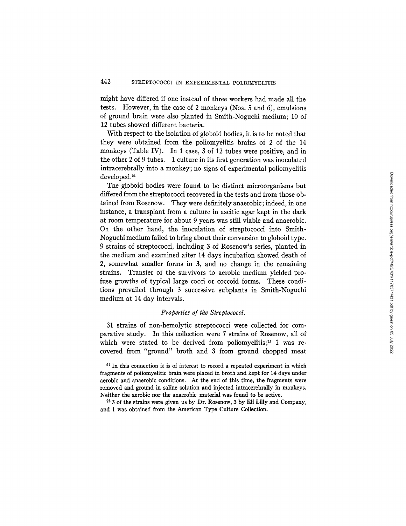might have differed if one instead of three workers had made all the tests. However, in the case of 2 monkeys (Nos. 5 and 6), emulsions of ground brain were also planted in Smith-Noguchi medium; 10 of 12 tubes showed different bacteria.

With respect to the isolation of globoid bodies, it is to be noted that they were obtained from the poliomyelitis brains of 2 of the 14 monkeys (Table IV). In 1 case, 3 of 12 tubes were positive, and in the other 2 of 9 tubes. 1 culture in its first generation was inoculated intracerebrally into a monkey; no signs of experimental poliomyelitis developed.<sup>24</sup>

The globoid bodies were found to be distinct microorganisms but differed from the streptococci recovered in the tests and from those obtained from Rosenow. They were definitely anaerobic; indeed, in one instance, a transplant from a culture in ascitic agar kept in the dark at room temperature for about 9 years was still viable and anaerobic. On the other hand, the inoculation of streptococci into Smith-Noguchi medium failed to bring about their conversion to globoid type. 9 strains of streptococci, including 3 of Rosenow's series, planted in the medium and examined after 14 days incubation showed death of 2, somewhat smaller forms in 3, and no change in the remaining strains. Transfer of the survivors to aerobic medium yielded profuse growths of typical large cocci or coccoid forms. These conditions prevailed through 3 successive subplants in Smith-Noguchi medium at 14 day intervals.

## *Properties of the Streptococci.*

31 strains of non-hemolytic streptococci were collected for comparative study. In this collection were 7 strains of Rosenow, all of which were stated to be derived from poliomyelitis;<sup>25</sup> 1 was recovered from "ground" broth and 3 from ground chopped meat

<sup>24</sup> In this connection it is of interest to record a repeated experiment in which fragments of poliomyelitic brain were placed in broth and kept for 14 days under aerobic and anaerobic conditions. At the end of this time, the fragments were removed and ground in saline solution and injected intracerebrally in monkeys. Neither the aerobic nor the anaerobic material was found to be active.

<sup>25</sup> 3 of the strains were given us by Dr. Rosenow, 3 by Eli Lilly and Company. and 1 was obtained from the American Type Culture Collection.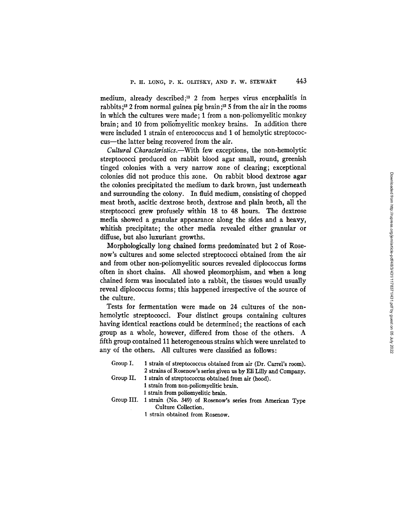medium, already described;<sup>13</sup> 2 from herpes virus encephalitis in rabbits ;13 2 from normal guinea pig brain ;13 5 from the air in the rooms in which the cultures were made; 1 from a non-poliomyelitic monkey brain; and 10 from poliomyelitic monkey brains. In addition there were included 1 strain of enterococcus and 1 of hemolytic streptococcus-the latter being recovered from the air.

*Cultural Characteristics.--With* few exceptions, the non-hemolytic streptococci produced on rabbit blood agar small, round, greenish tinged colonies with a very narrow zone of clearing; exceptional colonies did not produce this zone. On rabbit blood dextrose agar the colonies precipitated the medium to dark brown, just underneath and surrounding the colony. In fluid medium, consisting of chopped meat broth, ascitic dextrose broth, dextrose and plain broth, all the streptococci grew profusely within 18 to 48 hours. The dextrose media showed a granular appearance along the sides and a heavy, whitish precipitate; the other media revealed either granular or diffuse, but also luxuriant growths.

Morphologically long chained forms predominated but 2 of Rosenow's cultures and some selected streptococci obtained from the air and from other non-poliomyelitic sources revealed diplococcus forms often in short chains. All showed pleomorphism, and when a long chained form was inoculated into a rabbit, the tissues would usually reveal diplococcus forms; this happened irrespective of the source of the culture.

Tests for fermentation were made on 24 cultures of the nonhemolytic streptococci. Four distinct groups containing cultures having identical reactions could be determined; the reactions of each group as a whole, however, differed from those of the others. A fifth group contained 11 heterogeneous strains which were unrelated to any of the others. All cultures were classified as follows:

| Group I.   | 1 strain of streptococcus obtained from air (Dr. Carrel's room).                 |
|------------|----------------------------------------------------------------------------------|
|            | 2 strains of Rosenow's series given us by Eli Lilly and Company.                 |
| Group II.  | 1 strain of streptococcus obtained from air (hood).                              |
|            | 1 strain from non-poliomyelitic brain.                                           |
|            | 1 strain from poliomyelitic brain.                                               |
| Group III. | 1 strain (No. 349) of Rosenow's series from American Type<br>Culture Collection. |
|            | 1 strain obtained from Rosenow.                                                  |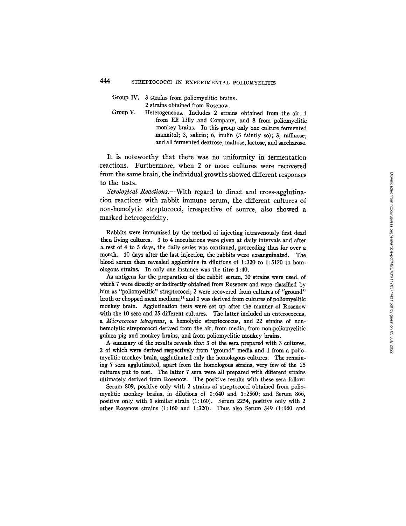Group IV. 3 strains from poliomyelitic brains. 2 strains obtained from Rosenow.

Group V. Heterogeneous. Includes 2 strains obtained from the air, 1 from Eli Lilly and Company, and 8 from poliomyelitic monkey brains. In this group only one culture fermented mannitol; 3, salicin; 6, inulin (3 faintly so); 3, raffinose; and all fermented dextrose, maltose, lactose, and saccharose.

It is noteworthy that there was no uniformity in fermentation reactions. Furthermore, when 2 or more cultures were recovered from the same brain, the individual growths showed different responses to the tests.

*Serological Reactions.*—With regard to direct and cross-agglutination reactions with rabbit immune serum, the different cultures of non-hemolytic streptococci, irrespective of source, also showed a marked heterogenicity.

Rabbits were immunized by the method of injecting intravenously first dead then living cultures. 3 to 4 inoculations were given at daily intervals and after a rest of 4 to 5 days, the daily series was continued, proceeding thus for over a month. 10 days after the last injection, the rabbits were exsanguinated. The blood serum then revealed agglutinins in dilutions of  $1:320$  to  $1:5120$  to homologous strains. In only one instance was the titre 1:40.

As antigens for the preparation of the rabbit serum, 10 strains were used, of which 7 were directly or indirectly obtained from Rosenow and were classified by him as "poliomyelitic" streptococci; 2 were recovered from cultures of "ground" broth or chopped meat medium; 13 and 1 was derived from cultures of poliomyelitic monkey brain. Agglutination tests were set up after the manner of Rosenow with the 10 sera and 25 different cultures. The latter included an enterococcus, *a Micrococcus tetragenus,* a hemolytic streptococcus, and 22 strains of nonhemolytic streptococci derived from the air, from media, from non-poliomyelitic guinea pig and monkey brains, and from poliomyelitic monkey brains.

A summary of the results reveals that 3 of the sera prepared with 3 cultures, 2 of which were derived respectively from "ground" media and 1 from a poliomyelitic monkey brain, agglutinated only the homologous cultures. The remaining 7 sera agglutinated, apart from the homologous strains, very few of the 25 cultures put to test. The latter 7 sera were all prepared with different strains ultimately derived from Rosenow. The positive results with these sera follow:

Serum 809, positive only with 2 strains of streptococci obtained from poliomyelitic monkey brains, in dilutions of 1:640 and 1:2560; and Serum 866, positive only with 1 similar strain (1:160). Serum 2254, positive only with 2 other Rosenow strains (1:160 and 1:320). Thus also Serum 349 (1:160 and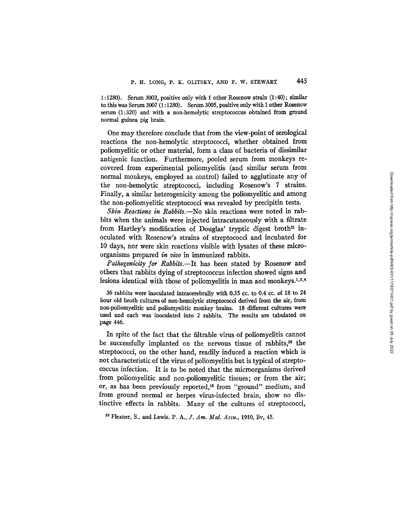1:1280). Serum *3002,* positive only with 1 other Rosenow strain (1:40); **similar**  to this was Serum 3007 (1 : 1280). Serum 3005, positive only with 1 other **Rosenow**  serum (1:320) and with a non-hemolytic streptococcus obtained from ground normal guinea pig brain.

One may therefore conclude that from the view-point of serological reactions the non-hemolytic streptococci, whether obtained from poliomyelitic or other material, form a class of bacteria of dissimilar antigenic function. Furthermore, pooled serum from monkeys recovered from experimental poliomyelitis (and similar serum from normal monkeys, employed as control) failed to agglutinate any of the non-hemolytic streptococci, including Rosenow's 7 strains. Finally, a similar heterogenicity among the poliomyelitic and among the non-poliomyelitic streptococci was revealed by precipitin tests.

*Skin Reactions in Rabbits.--No* skin reactions were noted in rabbits when the animals were injected intracutaneously with a filtrate from Hartley's modification of Douglas' tryptic digest broth $21$  inoculated with Rosenow's strains of streptococci and incubated for 10 days, nor were skin reactions visible with lysates of these microorganisms prepared *in vivo in* immunized rabbits.

*Pathogenicity for Rabbits.--It* has been stated by Rosenow and others that rabbits dying of streptococcus infection showed signs and lesions identical with those of poliomyelitis in man and monkeys.<sup>1,2,4</sup>

36 rabbits were inoculated intracerebrally with 0.35 cc. to 0.4 cc. of 18 to 24 hour old broth cultures of non-hemolytic streptococci derived from the air, from non-poliomyelitic and poliomyelitic monkey brains. 18 different cultures **were**  used and each was inoculated into 2 rabbits. The results are tabulated on page 446.

In spite of the fact that the filtrable virus of poliomyelitis cannot be successfully implanted on the nervous tissue of rabbits,<sup>26</sup> the streptococci, on the other hand, readily induced a reaction which is not characteristic of the virus of poliomyelitis but is typical of streptococcus infection. It is to be noted that the microorganisms derived from poliomyelitic and non-poliomyelltic tissues; or from the air; or, as has been previously reported,<sup>13</sup> from "ground" medium, and from ground normal or herpes virus-infected brain, show no distinctive effects in rabbits. Many of the cultures of streptococci,

28 Flexner, S., and Lewis. *P. A.. J. Am. Med. Assn.,* 1910, liv, 45.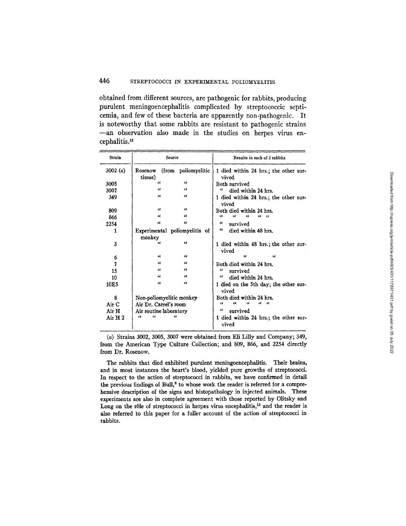obtained from different sources, are pathogenic for rabbits, producing purulent meningoencephalitis complicated by streptococcic septicemia, and few of these bacteria are apparently non-pathogenic. It is noteworthy that some rabbits are resistant to pathogenic strains -- an observation also made in the studies on herpes virus encephalitis.<sup>13</sup>

| Strain  | Source                                  |            | Results in each of 2 rabbits                   |
|---------|-----------------------------------------|------------|------------------------------------------------|
| 3002(a) | Rosenow (from poliomyelitic<br>tissue)  |            | 1 died within 24 hrs.; the other sur-<br>vived |
| 3005    | 16                                      | 44         | <b>Both survived</b>                           |
| 3007    | $\epsilon$                              | $\epsilon$ | "<br>died within 24 hrs.                       |
| 349     | $\epsilon$                              | $\iota$    | 1 died within 24 hrs.; the other sur-<br>vived |
| 809     | $\epsilon$                              | $\epsilon$ | Both died within 24 hrs.                       |
| 866     | u                                       | $\epsilon$ | æ<br>$\epsilon$<br>œ                           |
| 2254    | $\epsilon$                              | ш          | u<br>survived                                  |
| 1       | Experimental poliomyelitis of<br>monkey |            | 46<br>died within 48 hrs.                      |
| 3       | ш                                       | u          | 1 died within 48 hrs.; the other sur-<br>vived |
| 6       | $\ddot{\phantom{a}}$                    | u          | u<br>46                                        |
| 7       | $\epsilon$                              | u          | Both died within 24 hrs.                       |
| 15      | "                                       | $\epsilon$ | "<br>survived                                  |
| 10      | $\epsilon$                              | 46         | u<br>died within 24 hrs.                       |
| 10E5    | 44                                      | 44         | 1 died on the 5th day; the other sur-<br>vived |
| 8       | Non-poliomyelitic monkey                |            | Both died within 24 hrs.                       |
| Air C   | Air Dr. Carrel's room                   |            | 44                                             |
| Air H   | Air routine laboratory                  |            | 66<br>survived                                 |
| Air H 2 | $\epsilon$<br>$\epsilon$<br>$\epsilon$  |            | 1 died within 24 hrs.; the other sur-<br>vived |

(a) Strains *3002,* 3005, 3007 were obtained from Eli Lilly and Company; 349, from the American Type Culture Collection; and 809, 866, and 2254 directly from Dr. Rosenow.

The rabbits that died exhibited purulent meningoencephaiitis. Their brains, and in most instances the heart's blood, yielded pure growths of streptococci. In respect to the action of streptococci in rabbits, we have confirmed in detail the previous findings of Bull, $6$  to whose work the reader is referred for a comprehensive description of the signs and histopathology in injected animals. These experiments are also in complete agreement with those reported by Olltsky and Long on the rôle of streptococci in herpes virus encephalitis,<sup>13</sup> and the reader is also referred to this paper for a fuller account of the action of streptococci in rabbits.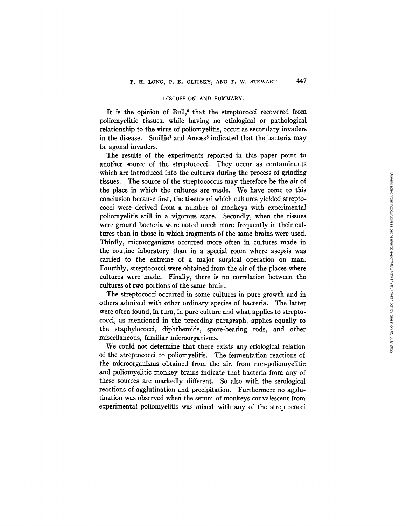#### DISCUSSION AND SUMMARY.

It is the opinion of Bull,<sup>6</sup> that the streptococci recovered from poliomyelitic tissues, while having no etiological or pathological relationship to the virus of poliomyelitis, occur as secondary invaders in the disease. Smillie<sup>7</sup> and Amoss<sup>8</sup> indicated that the bacteria may be agonal invaders.

The results of the experiments reported in this paper point to another source of the streptococci. They occur as contaminants which are introduced into the cultures during the process of grinding tissues. The source of the streptococcus may therefore be the air of the place in which the cultures are made. We have come to this conclusion because first, the tissues of which cultures yielded streptococci were derived from a number of monkeys with experimental poliomyelitis still in a vigorous state. Secondly, when the tissues were ground bacteria were noted much more frequently in their cultures than in those in which fragments of the same brains were used. Thirdly, microorganisms occurred more often in cultures made in the routine laboratory than in a special room where asepsis was carried to the extreme of a major surgical operation on man. Fourthly, streptococci were obtained from the air of the places where cultures were made. Finally, there is no correlation between the cultures of two portions of the same brain.

The streptococci occurred in some cultures in pure growth and in others admixed with other ordinary species of bacteria. The latter were often found, in turn, in pure culture and what applies to streptococci, as mentioned in the preceding paragraph, applies equally to the staphylococci, diphtheroids, spore-bearing rods, and other miscellaneous, familiar microorganisms.

We could not determine that there exists any etiological relation of the streptococci to poliomyelitis. The fermentation reactions of the microorganisms obtained from the air, from non-poliomyelitic and poliomyelitic monkey brains indicate that bacteria from any of these sources are markedly different. So also with the serological reactions of agglutination and precipitation. Furthermore no agglutination was observed when the serum of monkeys convalescent from experimental poliomyelitis was mixed with any of the streptococci